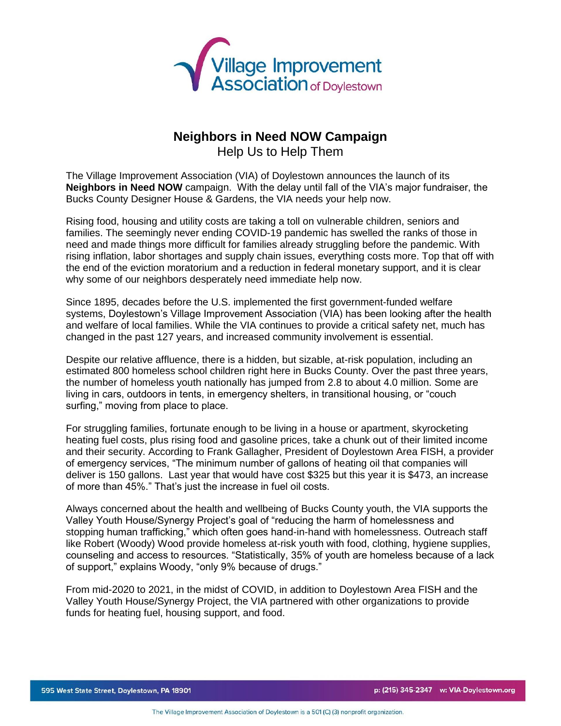

## **Neighbors in Need NOW Campaign**

Help Us to Help Them

The Village Improvement Association (VIA) of Doylestown announces the launch of its **Neighbors in Need NOW** campaign. With the delay until fall of the VIA's major fundraiser, the Bucks County Designer House & Gardens, the VIA needs your help now.

Rising food, housing and utility costs are taking a toll on vulnerable children, seniors and families. The seemingly never ending COVID-19 pandemic has swelled the ranks of those in need and made things more difficult for families already struggling before the pandemic. With rising inflation, labor shortages and supply chain issues, everything costs more. Top that off with the end of the eviction moratorium and a reduction in federal monetary support, and it is clear why some of our neighbors desperately need immediate help now.

Since 1895, decades before the U.S. implemented the first government-funded welfare systems, Doylestown's Village Improvement Association (VIA) has been looking after the health and welfare of local families. While the VIA continues to provide a critical safety net, much has changed in the past 127 years, and increased community involvement is essential.

Despite our relative affluence, there is a hidden, but sizable, at-risk population, including an estimated 800 homeless school children right here in Bucks County. Over the past three years, the number of homeless youth nationally has jumped from 2.8 to about 4.0 million. Some are living in cars, outdoors in tents, in emergency shelters, in transitional housing, or "couch surfing," moving from place to place.

For struggling families, fortunate enough to be living in a house or apartment, skyrocketing heating fuel costs, plus rising food and gasoline prices, take a chunk out of their limited income and their security. According to Frank Gallagher, President of Doylestown Area FISH, a provider of emergency services, "The minimum number of gallons of heating oil that companies will deliver is 150 gallons. Last year that would have cost \$325 but this year it is \$473, an increase of more than 45%." That's just the increase in fuel oil costs.

Always concerned about the health and wellbeing of Bucks County youth, the VIA supports the Valley Youth House/Synergy Project's goal of "reducing the harm of homelessness and stopping human trafficking," which often goes hand-in-hand with homelessness. Outreach staff like Robert (Woody) Wood provide homeless at-risk youth with food, clothing, hygiene supplies, counseling and access to resources. "Statistically, 35% of youth are homeless because of a lack of support," explains Woody, "only 9% because of drugs."

From mid-2020 to 2021, in the midst of COVID, in addition to Doylestown Area FISH and the Valley Youth House/Synergy Project, the VIA partnered with other organizations to provide funds for heating fuel, housing support, and food.